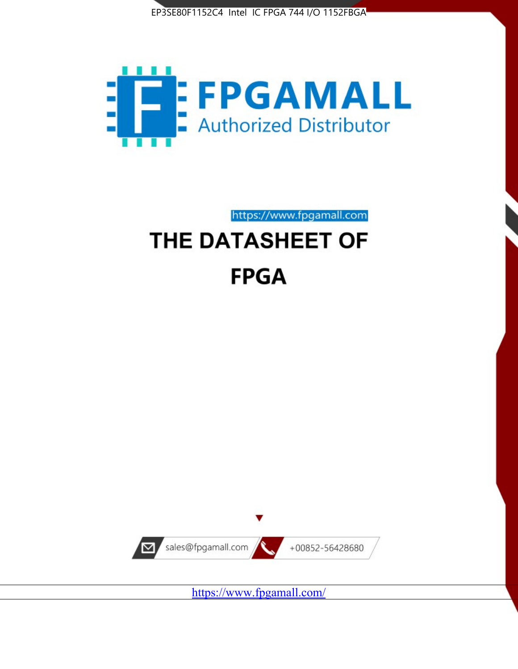



https://www.fpgamall.com

# THE DATASHEET OF **FPGA**



<https://www.fpgamall.com/>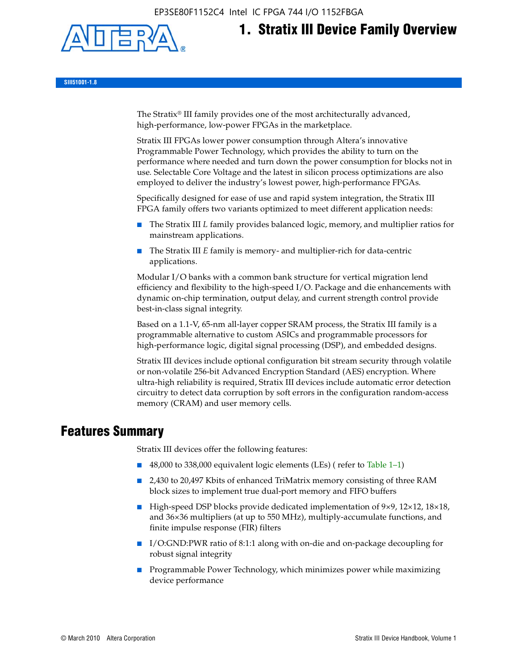EP3SE80F1152C4 Intel IC FPGA 744 I/O 1152FBGA



# **1. Stratix III Device Family Overview**

**SIII51001-1.8**

The Stratix® III family provides one of the most architecturally advanced, high-performance, low-power FPGAs in the marketplace.

Stratix III FPGAs lower power consumption through Altera's innovative Programmable Power Technology, which provides the ability to turn on the performance where needed and turn down the power consumption for blocks not in use. Selectable Core Voltage and the latest in silicon process optimizations are also employed to deliver the industry's lowest power, high-performance FPGAs.

Specifically designed for ease of use and rapid system integration, the Stratix III FPGA family offers two variants optimized to meet different application needs:

- The Stratix III *L* family provides balanced logic, memory, and multiplier ratios for mainstream applications.
- The Stratix III *E* family is memory- and multiplier-rich for data-centric applications.

Modular I/O banks with a common bank structure for vertical migration lend efficiency and flexibility to the high-speed I/O. Package and die enhancements with dynamic on-chip termination, output delay, and current strength control provide best-in-class signal integrity.

Based on a 1.1-V, 65-nm all-layer copper SRAM process, the Stratix III family is a programmable alternative to custom ASICs and programmable processors for high-performance logic, digital signal processing (DSP), and embedded designs.

Stratix III devices include optional configuration bit stream security through volatile or non-volatile 256-bit Advanced Encryption Standard (AES) encryption. Where ultra-high reliability is required, Stratix III devices include automatic error detection circuitry to detect data corruption by soft errors in the configuration random-access memory (CRAM) and user memory cells.

# **Features Summary**

Stratix III devices offer the following features:

- 48,000 to 338,000 equivalent logic elements (LEs) (refer to Table 1–1)
- 2,430 to 20,497 Kbits of enhanced TriMatrix memory consisting of three RAM block sizes to implement true dual-port memory and FIFO buffers
- High-speed DSP blocks provide dedicated implementation of 9×9, 12×12, 18×18, and 36×36 multipliers (at up to 550 MHz), multiply-accumulate functions, and finite impulse response (FIR) filters
- I/O:GND:PWR ratio of 8:1:1 along with on-die and on-package decoupling for robust signal integrity
- Programmable Power Technology, which minimizes power while maximizing device performance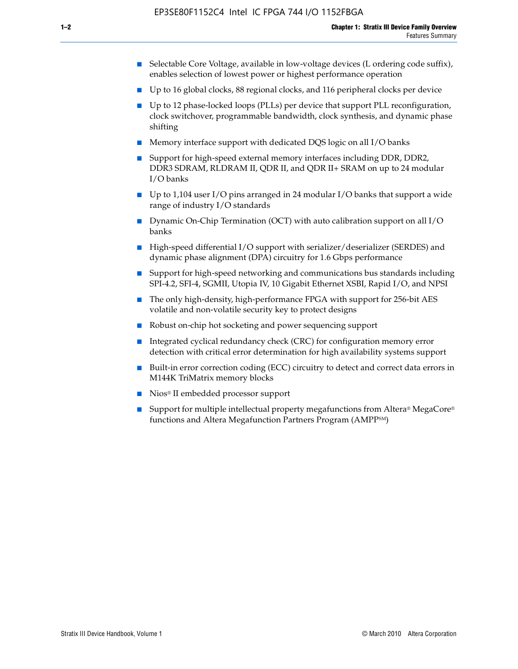- Selectable Core Voltage, available in low-voltage devices (L ordering code suffix), enables selection of lowest power or highest performance operation
- Up to 16 global clocks, 88 regional clocks, and 116 peripheral clocks per device
- Up to 12 phase-locked loops (PLLs) per device that support PLL reconfiguration, clock switchover, programmable bandwidth, clock synthesis, and dynamic phase shifting
- Memory interface support with dedicated DQS logic on all I/O banks
- Support for high-speed external memory interfaces including DDR, DDR2, DDR3 SDRAM, RLDRAM II, QDR II, and QDR II+ SRAM on up to 24 modular I/O banks
- Up to 1,104 user I/O pins arranged in 24 modular I/O banks that support a wide range of industry I/O standards
- Dynamic On-Chip Termination (OCT) with auto calibration support on all  $I/O$ banks
- High-speed differential I/O support with serializer/deserializer (SERDES) and dynamic phase alignment (DPA) circuitry for 1.6 Gbps performance
- Support for high-speed networking and communications bus standards including SPI-4.2, SFI-4, SGMII, Utopia IV, 10 Gigabit Ethernet XSBI, Rapid I/O, and NPSI
- The only high-density, high-performance FPGA with support for 256-bit AES volatile and non-volatile security key to protect designs
- Robust on-chip hot socketing and power sequencing support
- Integrated cyclical redundancy check (CRC) for configuration memory error detection with critical error determination for high availability systems support
- Built-in error correction coding (ECC) circuitry to detect and correct data errors in M144K TriMatrix memory blocks
- Nios<sup>®</sup> II embedded processor support
- Support for multiple intellectual property megafunctions from Altera® MegaCore® functions and Altera Megafunction Partners Program (AMPPSM)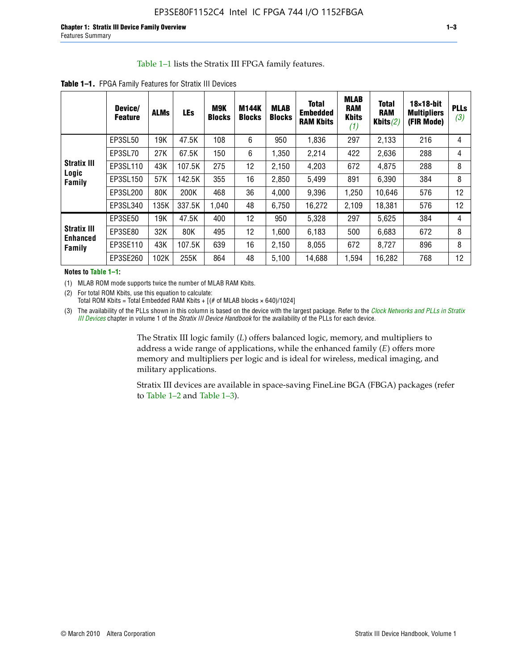#### Table 1–1 lists the Stratix III FPGA family features.

|                                          | Device/<br><b>Feature</b> | <b>ALMs</b> | LEs    | M9K<br><b>Blocks</b> | <b>M144K</b><br><b>Blocks</b> | <b>MLAB</b><br><b>Blocks</b> | <b>Total</b><br><b>Embedded</b><br><b>RAM Kbits</b> | <b>MLAB</b><br><b>RAM</b><br><b>Kbits</b><br>(1) | <b>Total</b><br><b>RAM</b><br>Kbits $(2)$ | $18\times18$ -bit<br><b>Multipliers</b><br>(FIR Mode) | <b>PLLs</b><br>(3) |
|------------------------------------------|---------------------------|-------------|--------|----------------------|-------------------------------|------------------------------|-----------------------------------------------------|--------------------------------------------------|-------------------------------------------|-------------------------------------------------------|--------------------|
|                                          | EP3SL50                   | 19K         | 47.5K  | 108                  | 6                             | 950                          | 1,836                                               | 297                                              | 2,133                                     | 216                                                   | 4                  |
|                                          | EP3SL70                   | 27K         | 67.5K  | 150                  | 6                             | 1,350                        | 2,214                                               | 422                                              | 2,636                                     | 288                                                   | $\overline{4}$     |
| <b>Stratix III</b>                       | EP3SL110                  | 43K         | 107.5K | 275                  | 12                            | 2,150                        | 4,203                                               | 672                                              | 4,875                                     | 288                                                   | 8                  |
| Logic<br>Family                          | EP3SL150                  | 57K         | 142.5K | 355                  | 16                            | 2,850                        | 5,499                                               | 891                                              | 6,390                                     | 384                                                   | 8                  |
|                                          | EP3SL200                  | 80K         | 200K   | 468                  | 36                            | 4,000                        | 9,396                                               | 1,250                                            | 10,646                                    | 576                                                   | 12                 |
|                                          | EP3SL340                  | 135K        | 337.5K | 1,040                | 48                            | 6,750                        | 16,272                                              | 2,109                                            | 18,381                                    | 576                                                   | 12                 |
|                                          | EP3SE50                   | 19K         | 47.5K  | 400                  | 12                            | 950                          | 5,328                                               | 297                                              | 5.625                                     | 384                                                   | 4                  |
| <b>Stratix III</b><br>Enhanced<br>Family | EP3SE80                   | 32K         | 80K    | 495                  | 12                            | 1.600                        | 6,183                                               | 500                                              | 6,683                                     | 672                                                   | 8                  |
|                                          | EP3SE110                  | 43K         | 107.5K | 639                  | 16                            | 2,150                        | 8,055                                               | 672                                              | 8,727                                     | 896                                                   | 8                  |
|                                          | EP3SE260                  | 102K        | 255K   | 864                  | 48                            | 5,100                        | 14,688                                              | 1,594                                            | 16,282                                    | 768                                                   | 12                 |

**Table 1–1.** FPGA Family Features for Stratix III Devices

**Notes to Table 1–1:**

(1) MLAB ROM mode supports twice the number of MLAB RAM Kbits.

(2) For total ROM Kbits, use this equation to calculate: Total ROM Kbits = Total Embedded RAM Kbits +  $[(# of MLAB blocks × 640)/1024]$ 

(3) The availability of the PLLs shown in this column is based on the device with the largest package. Refer to the *[Clock Networks and PLLs in Stratix](http://www.altera.com/literature/hb/stx3/stx3_siii51006.pdf)  [III Devices](http://www.altera.com/literature/hb/stx3/stx3_siii51006.pdf)* chapter in volume 1 of the *Stratix III Device Handbook* for the availability of the PLLs for each device.

> The Stratix III logic family (*L*) offers balanced logic, memory, and multipliers to address a wide range of applications, while the enhanced family (*E*) offers more memory and multipliers per logic and is ideal for wireless, medical imaging, and military applications.

Stratix III devices are available in space-saving FineLine BGA (FBGA) packages (refer to Table 1–2 and Table 1–3).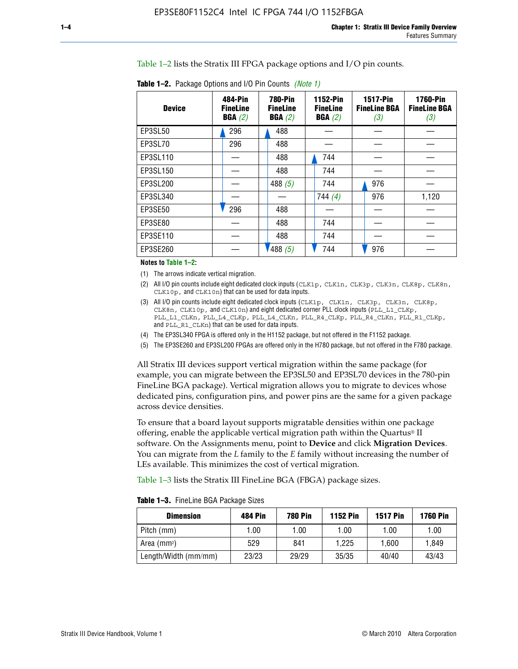Table 1–2 lists the Stratix III FPGA package options and I/O pin counts.

| <b>Device</b> | 484-Pin<br><b>FineLine</b><br>BGA(2) | <b>780-Pin</b><br><b>FineLine</b><br>BGA(2) | 1152-Pin<br><b>FineLine</b><br>BGA(2) | <b>1517-Pin</b><br><b>FineLine BGA</b><br>(3) | <b>1760-Pin</b><br><b>FineLine BGA</b><br>(3) |
|---------------|--------------------------------------|---------------------------------------------|---------------------------------------|-----------------------------------------------|-----------------------------------------------|
| EP3SL50       | 296                                  | 488                                         |                                       |                                               |                                               |
| EP3SL70       | 296                                  | 488                                         |                                       |                                               |                                               |
| EP3SL110      |                                      | 488                                         | 744                                   |                                               |                                               |
| EP3SL150      |                                      | 488                                         | 744                                   |                                               |                                               |
| EP3SL200      |                                      | 488 $(5)$                                   | 744                                   | 976                                           |                                               |
| EP3SL340      |                                      |                                             | 744 $(4)$                             | 976                                           | 1,120                                         |
| EP3SE50       | 296                                  | 488                                         |                                       |                                               |                                               |
| EP3SE80       |                                      | 488                                         | 744                                   |                                               |                                               |
| EP3SE110      |                                      | 488                                         | 744                                   |                                               |                                               |
| EP3SE260      |                                      | 488(5)                                      | 744                                   | 976                                           |                                               |

**Table 1–2.** Package Options and I/O Pin Counts *(Note 1)*

**Notes to Table 1–2:**

(1) The arrows indicate vertical migration.

- (2) All I/O pin counts include eight dedicated clock inputs (CLK1p, CLK1n, CLK3p, CLK3n, CLK8p, CLK8n, CLK10p, and CLK10n) that can be used for data inputs.
- (3) All I/O pin counts include eight dedicated clock inputs (CLK1p, CLK1n, CLK3p, CLK3n, CLK8p, CLK8n, CLK10p, and CLK10n) and eight dedicated corner PLL clock inputs (PLL\_L1\_CLKp, PLL\_L1\_CLKn, PLL\_L4\_CLKp, PLL\_L4\_CLKn, PLL\_R4\_CLKp, PLL\_R4\_CLKn, PLL\_R1\_CLKp, and PLL\_R1\_CLKn) that can be used for data inputs.
- (4) The EP3SL340 FPGA is offered only in the H1152 package, but not offered in the F1152 package.
- (5) The EP3SE260 and EP3SL200 FPGAs are offered only in the H780 package, but not offered in the F780 package.

All Stratix III devices support vertical migration within the same package (for example, you can migrate between the EP3SL50 and EP3SL70 devices in the 780-pin FineLine BGA package). Vertical migration allows you to migrate to devices whose dedicated pins, configuration pins, and power pins are the same for a given package across device densities.

To ensure that a board layout supports migratable densities within one package offering, enable the applicable vertical migration path within the Quartus® II software. On the Assignments menu, point to **Device** and click **Migration Devices**. You can migrate from the *L* family to the *E* family without increasing the number of LEs available. This minimizes the cost of vertical migration.

Table 1–3 lists the Stratix III FineLine BGA (FBGA) package sizes.

**Table 1–3.** FineLine BGA Package Sizes

| <b>Dimension</b>     | <b>484 Pin</b> | <b>780 Pin</b> | <b>1152 Pin</b> | <b>1517 Pin</b> | <b>1760 Pin</b> |
|----------------------|----------------|----------------|-----------------|-----------------|-----------------|
| Pitch (mm)           | 1.00           | 1.00           | 1.00            | 1.00            | 1.00            |
| Area $(mm2)$         | 529            | 841            | 1.225           | 1.600           | 1.849           |
| Length/Width (mm/mm) | 23/23          | 29/29          | 35/35           | 40/40           | 43/43           |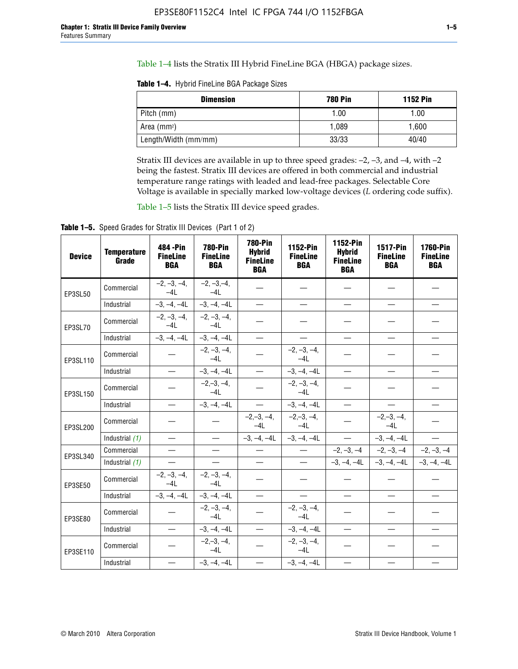Table 1–4 lists the Stratix III Hybrid FineLine BGA (HBGA) package sizes.

**Table 1–4.** Hybrid FineLine BGA Package Sizes

| <b>Dimension</b>     | <b>780 Pin</b> | <b>1152 Pin</b> |
|----------------------|----------------|-----------------|
| Pitch (mm)           | 1.00           | 1.00            |
| Area $(mm^2)$        | 1.089          | 1,600           |
| Length/Width (mm/mm) | 33/33          | 40/40           |

Stratix III devices are available in up to three speed grades: –2, –3, and –4, with –2 being the fastest. Stratix III devices are offered in both commercial and industrial temperature range ratings with leaded and lead-free packages. Selectable Core Voltage is available in specially marked low-voltage devices (*L* ordering code suffix).

Table 1–5 lists the Stratix III device speed grades.

Table 1-5. Speed Grades for Stratix III Devices (Part 1 of 2)

| <b>Device</b> | <b>Temperature</b><br>Grade | 484 - Pin<br><b>FineLine</b><br><b>BGA</b> | <b>780-Pin</b><br><b>FineLine</b><br><b>BGA</b> | <b>780-Pin</b><br><b>Hybrid</b><br><b>FineLine</b><br><b>BGA</b> | 1152-Pin<br><b>FineLine</b><br><b>BGA</b> | 1152-Pin<br><b>Hybrid</b><br><b>FineLine</b><br><b>BGA</b> | <b>1517-Pin</b><br><b>FineLine</b><br><b>BGA</b> | 1760-Pin<br><b>FineLine</b><br><b>BGA</b> |
|---------------|-----------------------------|--------------------------------------------|-------------------------------------------------|------------------------------------------------------------------|-------------------------------------------|------------------------------------------------------------|--------------------------------------------------|-------------------------------------------|
| EP3SL50       | Commercial                  | $-2, -3, -4,$<br>$-4L$                     | $-2, -3, -4,$<br>$-4L$                          |                                                                  |                                           |                                                            |                                                  |                                           |
|               | Industrial                  | $-3, -4, -4L$                              | $-3, -4, -4L$                                   | $\equiv$                                                         | $\equiv$                                  | $\equiv$                                                   | $\equiv$                                         | $\overline{\phantom{0}}$                  |
| EP3SL70       | Commercial                  | $-2, -3, -4,$<br>$-41$                     | $-2, -3, -4,$<br>$-41$                          |                                                                  |                                           |                                                            |                                                  |                                           |
|               | Industrial                  | $-3, -4, -4L$                              | $-3, -4, -4L$                                   | $\qquad \qquad -$                                                | $\overline{\phantom{0}}$                  | $\equiv$                                                   | $\equiv$                                         | $\equiv$                                  |
| EP3SL110      | Commercial                  |                                            | $-2, -3, -4,$<br>$-4L$                          |                                                                  | $-2, -3, -4,$<br>$-4L$                    |                                                            |                                                  |                                           |
|               | Industrial                  | $\equiv$                                   | $-3, -4, -4L$                                   |                                                                  | $-3, -4, -4L$                             | $\frac{1}{2}$                                              | $\equiv$                                         | $\equiv$                                  |
| EP3SL150      | Commercial                  |                                            | $-2, -3, -4,$<br>$-41$                          |                                                                  | $-2, -3, -4,$<br>$-41$                    |                                                            |                                                  |                                           |
|               | Industrial                  | $\overline{\phantom{m}}$                   | $-3, -4, -4L$                                   | $\overline{\phantom{m}}$                                         | $-3, -4, -4L$                             | $\overline{\phantom{m}}$                                   | $\overline{\phantom{0}}$                         | $\overbrace{\phantom{12322111}}$          |
| EP3SL200      | Commercial                  |                                            |                                                 | $-2, -3, -4,$<br>$-4L$                                           | $-2,-3,-4,$<br>$-4L$                      |                                                            | $-2,-3,-4,$<br>$-4L$                             |                                           |
|               | Industrial (1)              | $\equiv$                                   | $\equiv$                                        | $-3, -4, -4L$                                                    | $-3, -4, -4L$                             | $\overline{\phantom{0}}$                                   | $-3, -4, -4L$                                    | $\equiv$                                  |
| EP3SL340      | Commercial                  | $\equiv$                                   | $\qquad \qquad$                                 | $\qquad \qquad$                                                  | $\overline{\phantom{m}}$                  |                                                            | $-2, -3, -4$ $-2, -3, -4$                        | $-2, -3, -4$                              |
|               | Industrial (1)              |                                            | $\equiv$                                        | $\overline{\phantom{0}}$                                         | $\overline{\phantom{0}}$                  |                                                            | $-3, -4, -4$ $-3, -4, -4$                        | $-3, -4, -4L$                             |
| EP3SE50       | Commercial                  | $-2, -3, -4,$<br>$-4L$                     | $-2, -3, -4,$<br>$-4L$                          |                                                                  |                                           |                                                            |                                                  |                                           |
|               | Industrial                  | $-3, -4, -4L$                              | $-3, -4, -4L$                                   | $\equiv$                                                         | $\equiv$                                  | $\overline{\phantom{0}}$                                   | $\equiv$                                         | $\overline{\phantom{0}}$                  |
| EP3SE80       | Commercial                  |                                            | $-2, -3, -4,$<br>$-41$                          |                                                                  | $-2, -3, -4,$<br>$-41$                    |                                                            |                                                  |                                           |
|               | Industrial                  | $\overline{\phantom{m}}$                   | $-3, -4, -4L$                                   |                                                                  | $-3, -4, -4L$                             | $\qquad \qquad$                                            | $\equiv$                                         |                                           |
| EP3SE110      | Commercial                  |                                            | $-2, -3, -4,$<br>$-4L$                          |                                                                  | $-2, -3, -4,$<br>$-4L$                    |                                                            |                                                  |                                           |
|               | Industrial                  |                                            | $-3, -4, -4L$                                   | $\equiv$                                                         | $-3, -4, -4L$                             |                                                            |                                                  |                                           |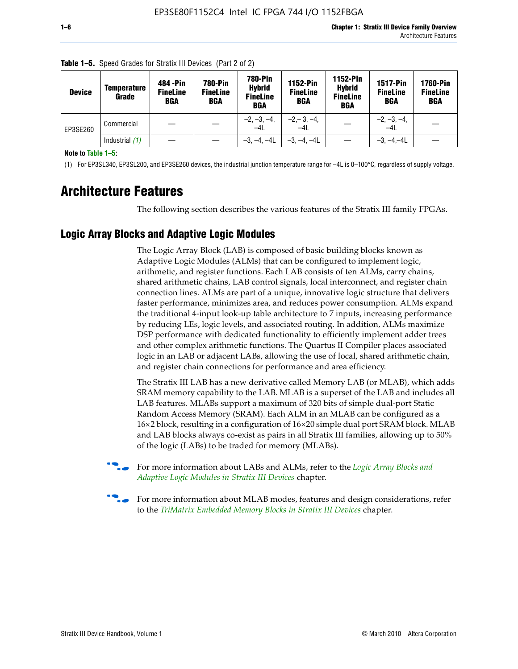| <b>Device</b> | <b>Temperature</b><br>Grade | 484 - Pin<br><b>FineLine</b><br><b>BGA</b> | <b>780-Pin</b><br><b>FineLine</b><br><b>BGA</b> | <b>780-Pin</b><br><b>Hybrid</b><br><b>FineLine</b><br><b>BGA</b> | 1152-Pin<br><b>FineLine</b><br><b>BGA</b> | 1152-Pin<br><b>Hybrid</b><br><b>FineLine</b><br><b>BGA</b> | <b>1517-Pin</b><br><b>FineLine</b><br><b>BGA</b> | <b>1760-Pin</b><br><b>FineLine</b><br>BGA |
|---------------|-----------------------------|--------------------------------------------|-------------------------------------------------|------------------------------------------------------------------|-------------------------------------------|------------------------------------------------------------|--------------------------------------------------|-------------------------------------------|
| EP3SE260      | Commercial                  |                                            |                                                 | $-2, -3, -4,$<br>$-4L$                                           | $-2, -3, -4,$<br>$-4L$                    |                                                            | $-2, -3, -4,$<br>$-4L$                           |                                           |
|               | Industrial $(1)$            |                                            |                                                 | $-3, -4, -4L$                                                    | $-3, -4, -4L$                             |                                                            | $-3, -4, -4L$                                    |                                           |

**Table 1–5.** Speed Grades for Stratix III Devices (Part 2 of 2)

**Note to Table 1–5:**

(1) For EP3SL340, EP3SL200, and EP3SE260 devices, the industrial junction temperature range for –4L is 0–100°C, regardless of supply voltage.

# **Architecture Features**

The following section describes the various features of the Stratix III family FPGAs.

## **Logic Array Blocks and Adaptive Logic Modules**

The Logic Array Block (LAB) is composed of basic building blocks known as Adaptive Logic Modules (ALMs) that can be configured to implement logic, arithmetic, and register functions. Each LAB consists of ten ALMs, carry chains, shared arithmetic chains, LAB control signals, local interconnect, and register chain connection lines. ALMs are part of a unique, innovative logic structure that delivers faster performance, minimizes area, and reduces power consumption. ALMs expand the traditional 4-input look-up table architecture to 7 inputs, increasing performance by reducing LEs, logic levels, and associated routing. In addition, ALMs maximize DSP performance with dedicated functionality to efficiently implement adder trees and other complex arithmetic functions. The Quartus II Compiler places associated logic in an LAB or adjacent LABs, allowing the use of local, shared arithmetic chain, and register chain connections for performance and area efficiency.

The Stratix III LAB has a new derivative called Memory LAB (or MLAB), which adds SRAM memory capability to the LAB. MLAB is a superset of the LAB and includes all LAB features. MLABs support a maximum of 320 bits of simple dual-port Static Random Access Memory (SRAM). Each ALM in an MLAB can be configured as a 16×2 block, resulting in a configuration of 16×20 simple dual port SRAM block. MLAB and LAB blocks always co-exist as pairs in all Stratix III families, allowing up to 50% of the logic (LABs) to be traded for memory (MLABs).



f For more information about LABs and ALMs, refer to the *[Logic Array Blocks and](http://www.altera.com/literature/hb/stx3/stx3_siii51002.pdf)  [Adaptive Logic Modules in Stratix III Devices](http://www.altera.com/literature/hb/stx3/stx3_siii51002.pdf)* chapter.



For more information about MLAB modes, features and design considerations, refer to the *[TriMatrix Embedded Memory Blocks in Stratix III Devices](http://www.altera.com/literature/hb/stx3/stx3_siii51004.pdf)* chapter.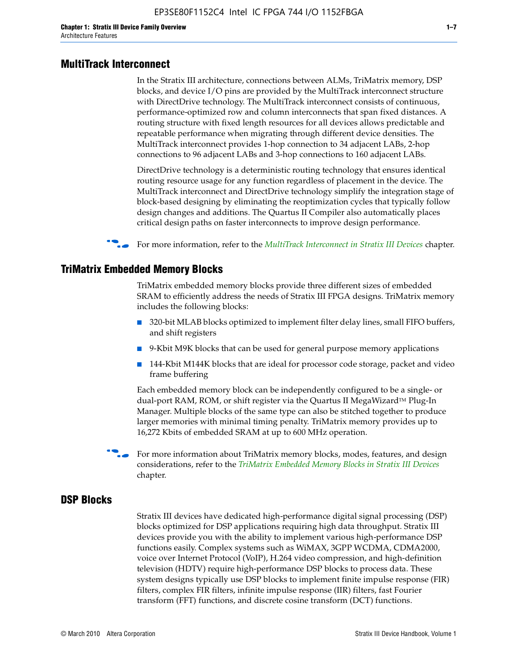#### **MultiTrack Interconnect**

In the Stratix III architecture, connections between ALMs, TriMatrix memory, DSP blocks, and device I/O pins are provided by the MultiTrack interconnect structure with DirectDrive technology. The MultiTrack interconnect consists of continuous, performance-optimized row and column interconnects that span fixed distances. A routing structure with fixed length resources for all devices allows predictable and repeatable performance when migrating through different device densities. The MultiTrack interconnect provides 1-hop connection to 34 adjacent LABs, 2-hop connections to 96 adjacent LABs and 3-hop connections to 160 adjacent LABs.

DirectDrive technology is a deterministic routing technology that ensures identical routing resource usage for any function regardless of placement in the device. The MultiTrack interconnect and DirectDrive technology simplify the integration stage of block-based designing by eliminating the reoptimization cycles that typically follow design changes and additions. The Quartus II Compiler also automatically places critical design paths on faster interconnects to improve design performance.

#### f For more information, refer to the *[MultiTrack Interconnect in Stratix III Devices](http://www.altera.com/literature/hb/stx3/stx3_siii51003.pdf)* chapter.

#### **TriMatrix Embedded Memory Blocks**

TriMatrix embedded memory blocks provide three different sizes of embedded SRAM to efficiently address the needs of Stratix III FPGA designs. TriMatrix memory includes the following blocks:

- 320-bit MLAB blocks optimized to implement filter delay lines, small FIFO buffers, and shift registers
- 9-Kbit M9K blocks that can be used for general purpose memory applications
- 144-Kbit M144K blocks that are ideal for processor code storage, packet and video frame buffering

Each embedded memory block can be independently configured to be a single- or dual-port RAM, ROM, or shift register via the Quartus II MegaWizard™ Plug-In Manager. Multiple blocks of the same type can also be stitched together to produce larger memories with minimal timing penalty. TriMatrix memory provides up to 16,272 Kbits of embedded SRAM at up to 600 MHz operation.

For more information about TriMatrix memory blocks, modes, features, and design considerations, refer to the *[TriMatrix Embedded Memory Blocks in Stratix III Devices](http://www.altera.com/literature/hb/stx3/stx3_siii51004.pdf)* chapter.

#### **DSP Blocks**

Stratix III devices have dedicated high-performance digital signal processing (DSP) blocks optimized for DSP applications requiring high data throughput. Stratix III devices provide you with the ability to implement various high-performance DSP functions easily. Complex systems such as WiMAX, 3GPP WCDMA, CDMA2000, voice over Internet Protocol (VoIP), H.264 video compression, and high-definition television (HDTV) require high-performance DSP blocks to process data. These system designs typically use DSP blocks to implement finite impulse response (FIR) filters, complex FIR filters, infinite impulse response (IIR) filters, fast Fourier transform (FFT) functions, and discrete cosine transform (DCT) functions.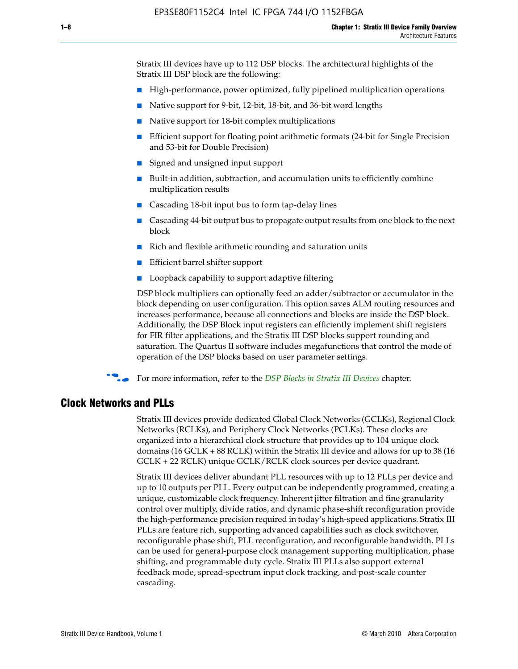Stratix III devices have up to 112 DSP blocks. The architectural highlights of the Stratix III DSP block are the following:

- High-performance, power optimized, fully pipelined multiplication operations
- Native support for 9-bit, 12-bit, 18-bit, and 36-bit word lengths
- Native support for 18-bit complex multiplications
- Efficient support for floating point arithmetic formats (24-bit for Single Precision and 53-bit for Double Precision)
- Signed and unsigned input support
- Built-in addition, subtraction, and accumulation units to efficiently combine multiplication results
- Cascading 18-bit input bus to form tap-delay lines
- Cascading 44-bit output bus to propagate output results from one block to the next block
- Rich and flexible arithmetic rounding and saturation units
- Efficient barrel shifter support
- Loopback capability to support adaptive filtering

DSP block multipliers can optionally feed an adder/subtractor or accumulator in the block depending on user configuration. This option saves ALM routing resources and increases performance, because all connections and blocks are inside the DSP block. Additionally, the DSP Block input registers can efficiently implement shift registers for FIR filter applications, and the Stratix III DSP blocks support rounding and saturation. The Quartus II software includes megafunctions that control the mode of operation of the DSP blocks based on user parameter settings.

f For more information, refer to the *[DSP Blocks in Stratix III Devices](http://www.altera.com/literature/hb/stx3/stx3_siii51005.pdf)* chapter.

#### **Clock Networks and PLLs**

Stratix III devices provide dedicated Global Clock Networks (GCLKs), Regional Clock Networks (RCLKs), and Periphery Clock Networks (PCLKs). These clocks are organized into a hierarchical clock structure that provides up to 104 unique clock domains (16 GCLK + 88 RCLK) within the Stratix III device and allows for up to 38 (16 GCLK + 22 RCLK) unique GCLK/RCLK clock sources per device quadrant.

Stratix III devices deliver abundant PLL resources with up to 12 PLLs per device and up to 10 outputs per PLL. Every output can be independently programmed, creating a unique, customizable clock frequency. Inherent jitter filtration and fine granularity control over multiply, divide ratios, and dynamic phase-shift reconfiguration provide the high-performance precision required in today's high-speed applications. Stratix III PLLs are feature rich, supporting advanced capabilities such as clock switchover, reconfigurable phase shift, PLL reconfiguration, and reconfigurable bandwidth. PLLs can be used for general-purpose clock management supporting multiplication, phase shifting, and programmable duty cycle. Stratix III PLLs also support external feedback mode, spread-spectrum input clock tracking, and post-scale counter cascading.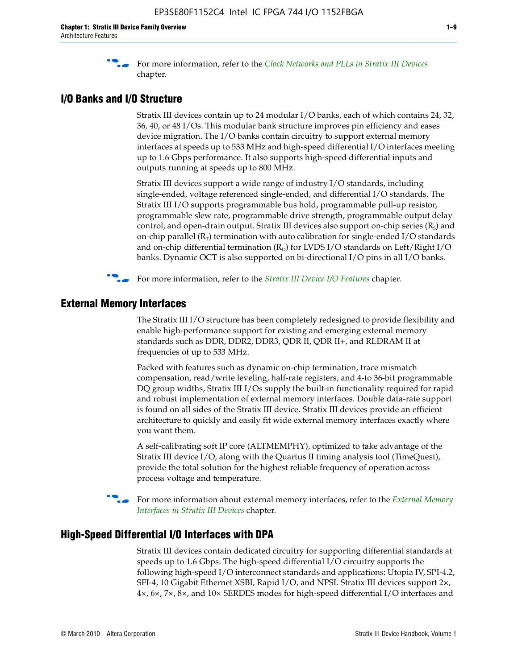f For more information, refer to the *[Clock Networks and PLLs in Stratix III Devices](http://www.altera.com/literature/hb/stx3/stx3_siii51006.pdf)* chapter.

### **I/O Banks and I/O Structure**

Stratix III devices contain up to 24 modular I/O banks, each of which contains 24, 32, 36, 40, or 48 I/Os. This modular bank structure improves pin efficiency and eases device migration. The I/O banks contain circuitry to support external memory interfaces at speeds up to 533 MHz and high-speed differential I/O interfaces meeting up to 1.6 Gbps performance. It also supports high-speed differential inputs and outputs running at speeds up to 800 MHz.

Stratix III devices support a wide range of industry I/O standards, including single-ended, voltage referenced single-ended, and differential I/O standards. The Stratix III I/O supports programmable bus hold, programmable pull-up resistor, programmable slew rate, programmable drive strength, programmable output delay control, and open-drain output. Stratix III devices also support on-chip series  $(R<sub>s</sub>)$  and on-chip parallel  $(R_T)$  termination with auto calibration for single-ended I/O standards and on-chip differential termination  $(R_D)$  for LVDS I/O standards on Left/Right I/O banks. Dynamic OCT is also supported on bi-directional I/O pins in all I/O banks.

**For more information, refer to the** *[Stratix III Device I/O Features](http://www.altera.com/literature/hb/stx3/stx3_siii51007.pdf)* **chapter.** 

### **External Memory Interfaces**

The Stratix III I/O structure has been completely redesigned to provide flexibility and enable high-performance support for existing and emerging external memory standards such as DDR, DDR2, DDR3, QDR II, QDR II+, and RLDRAM II at frequencies of up to 533 MHz.

Packed with features such as dynamic on-chip termination, trace mismatch compensation, read/write leveling, half-rate registers, and 4-to 36-bit programmable DQ group widths, Stratix III I/Os supply the built-in functionality required for rapid and robust implementation of external memory interfaces. Double data-rate support is found on all sides of the Stratix III device. Stratix III devices provide an efficient architecture to quickly and easily fit wide external memory interfaces exactly where you want them.

A self-calibrating soft IP core (ALTMEMPHY), optimized to take advantage of the Stratix III device I/O, along with the Quartus II timing analysis tool (TimeQuest), provide the total solution for the highest reliable frequency of operation across process voltage and temperature.

f For more information about external memory interfaces, refer to the *[External Memory](http://www.altera.com/literature/hb/stx3/stx3_siii51008.pdf)  [Interfaces in Stratix III Devices](http://www.altera.com/literature/hb/stx3/stx3_siii51008.pdf)* chapter.

#### **High-Speed Differential I/O Interfaces with DPA**

Stratix III devices contain dedicated circuitry for supporting differential standards at speeds up to 1.6 Gbps. The high-speed differential I/O circuitry supports the following high-speed I/O interconnect standards and applications: Utopia IV, SPI-4.2, SFI-4, 10 Gigabit Ethernet XSBI, Rapid I/O, and NPSI. Stratix III devices support 2×, 4×, 6×, 7×, 8×, and 10× SERDES modes for high-speed differential I/O interfaces and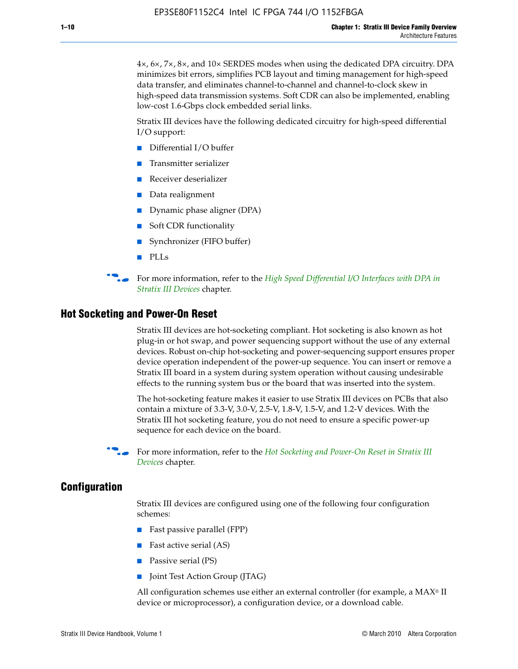4×, 6×, 7×, 8×, and 10× SERDES modes when using the dedicated DPA circuitry. DPA minimizes bit errors, simplifies PCB layout and timing management for high-speed data transfer, and eliminates channel-to-channel and channel-to-clock skew in high-speed data transmission systems. Soft CDR can also be implemented, enabling low-cost 1.6-Gbps clock embedded serial links.

Stratix III devices have the following dedicated circuitry for high-speed differential I/O support:

- Differential I/O buffer
- Transmitter serializer
- Receiver deserializer
- Data realignment
- Dynamic phase aligner (DPA)
- Soft CDR functionality
- Synchronizer (FIFO buffer)
- PLLs

**for more information, refer to the** *High Speed Differential I/O Interfaces with DPA in [Stratix III Devices](http://www.altera.com/literature/hb/stx3/stx3_siii51009.pdf)* chapter.

#### **Hot Socketing and Power-On Reset**

Stratix III devices are hot-socketing compliant. Hot socketing is also known as hot plug-in or hot swap, and power sequencing support without the use of any external devices. Robust on-chip hot-socketing and power-sequencing support ensures proper device operation independent of the power-up sequence. You can insert or remove a Stratix III board in a system during system operation without causing undesirable effects to the running system bus or the board that was inserted into the system.

The hot-socketing feature makes it easier to use Stratix III devices on PCBs that also contain a mixture of 3.3-V, 3.0-V, 2.5-V, 1.8-V, 1.5-V, and 1.2-V devices. With the Stratix III hot socketing feature, you do not need to ensure a specific power-up sequence for each device on the board.

f For more information, refer to the *[Hot Socketing and Power-On Reset in Stratix III](http://www.altera.com/literature/hb/stx3/stx3_siii51010.pdf)  [Device](http://www.altera.com/literature/hb/stx3/stx3_siii51010.pdf)s* chapter.

#### **Configuration**

Stratix III devices are configured using one of the following four configuration schemes:

- Fast passive parallel (FPP)
- Fast active serial (AS)
- Passive serial (PS)
- Joint Test Action Group (JTAG)

All configuration schemes use either an external controller (for example, a  $MAX<sup>®</sup>$  II device or microprocessor), a configuration device, or a download cable.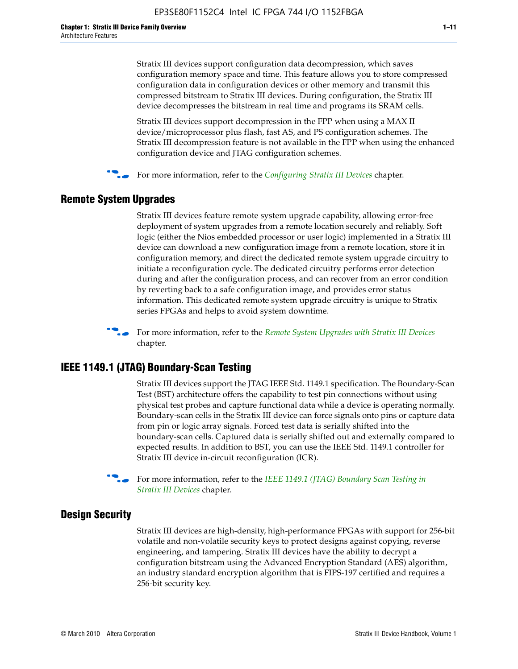Stratix III devices support configuration data decompression, which saves configuration memory space and time. This feature allows you to store compressed configuration data in configuration devices or other memory and transmit this compressed bitstream to Stratix III devices. During configuration, the Stratix III device decompresses the bitstream in real time and programs its SRAM cells.

Stratix III devices support decompression in the FPP when using a MAX II device/microprocessor plus flash, fast AS, and PS configuration schemes. The Stratix III decompression feature is not available in the FPP when using the enhanced configuration device and JTAG configuration schemes.

For more information, refer to the *[Configuring Stratix III Devices](http://www.altera.com/literature/hb/stx3/stx3_siii51011.pdf)* chapter.

### **Remote System Upgrades**

Stratix III devices feature remote system upgrade capability, allowing error-free deployment of system upgrades from a remote location securely and reliably. Soft logic (either the Nios embedded processor or user logic) implemented in a Stratix III device can download a new configuration image from a remote location, store it in configuration memory, and direct the dedicated remote system upgrade circuitry to initiate a reconfiguration cycle. The dedicated circuitry performs error detection during and after the configuration process, and can recover from an error condition by reverting back to a safe configuration image, and provides error status information. This dedicated remote system upgrade circuitry is unique to Stratix series FPGAs and helps to avoid system downtime.



**For more information, refer to the** *[Remote System Upgrades with Stratix III Devices](http://www.altera.com/literature/hb/stx3/stx3_siii51012.pdf)* chapter.

#### **IEEE 1149.1 (JTAG) Boundary-Scan Testing**

Stratix III devices support the JTAG IEEE Std. 1149.1 specification. The Boundary-Scan Test (BST) architecture offers the capability to test pin connections without using physical test probes and capture functional data while a device is operating normally. Boundary-scan cells in the Stratix III device can force signals onto pins or capture data from pin or logic array signals. Forced test data is serially shifted into the boundary-scan cells. Captured data is serially shifted out and externally compared to expected results. In addition to BST, you can use the IEEE Std. 1149.1 controller for Stratix III device in-circuit reconfiguration (ICR).

For more information, refer to the *IEEE 1149.1 (JTAG) Boundary Scan Testing in [Stratix III Devices](http://www.altera.com/literature/hb/stx3/stx3_siii51013.pdf)* chapter.

### **Design Security**

Stratix III devices are high-density, high-performance FPGAs with support for 256-bit volatile and non-volatile security keys to protect designs against copying, reverse engineering, and tampering. Stratix III devices have the ability to decrypt a configuration bitstream using the Advanced Encryption Standard (AES) algorithm, an industry standard encryption algorithm that is FIPS-197 certified and requires a 256-bit security key.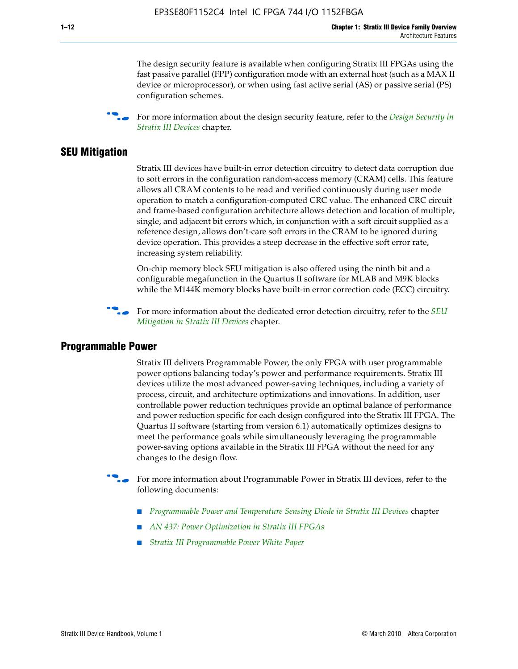The design security feature is available when configuring Stratix III FPGAs using the fast passive parallel (FPP) configuration mode with an external host (such as a MAX II device or microprocessor), or when using fast active serial (AS) or passive serial (PS) configuration schemes.

f For more information about the design security feature, refer to the *[Design Security in](http://www.altera.com/literature/hb/stx3/stx3_siii51014.pdf)  [Stratix III Devices](http://www.altera.com/literature/hb/stx3/stx3_siii51014.pdf)* chapter.

#### **SEU Mitigation**

Stratix III devices have built-in error detection circuitry to detect data corruption due to soft errors in the configuration random-access memory (CRAM) cells. This feature allows all CRAM contents to be read and verified continuously during user mode operation to match a configuration-computed CRC value. The enhanced CRC circuit and frame-based configuration architecture allows detection and location of multiple, single, and adjacent bit errors which, in conjunction with a soft circuit supplied as a reference design, allows don't-care soft errors in the CRAM to be ignored during device operation. This provides a steep decrease in the effective soft error rate, increasing system reliability.

On-chip memory block SEU mitigation is also offered using the ninth bit and a configurable megafunction in the Quartus II software for MLAB and M9K blocks while the M144K memory blocks have built-in error correction code (ECC) circuitry.

For more information about the dedicated error detection circuitry, refer to the *SEU [Mitigation in Stratix III Devices](http://www.altera.com/literature/hb/stx3/stx3_siii51015.pdf)* chapter.

#### **Programmable Power**

Stratix III delivers Programmable Power, the only FPGA with user programmable power options balancing today's power and performance requirements. Stratix III devices utilize the most advanced power-saving techniques, including a variety of process, circuit, and architecture optimizations and innovations. In addition, user controllable power reduction techniques provide an optimal balance of performance and power reduction specific for each design configured into the Stratix III FPGA. The Quartus II software (starting from version 6.1) automatically optimizes designs to meet the performance goals while simultaneously leveraging the programmable power-saving options available in the Stratix III FPGA without the need for any changes to the design flow.

For more information about Programmable Power in Stratix III devices, refer to the following documents:

- *[Programmable Power and Temperature Sensing Diode in Stratix III Devices](http://www.altera.com/literature/hb/stx3/stx3_siii51016.pdf)* chapter
- *[AN 437: Power Optimization in Stratix III FPGAs](http://www.altera.com/literature/an/AN437.pdf)*
- *[Stratix III Programmable Power White Paper](http://www.altera.com/literature/wp/wp-01006.pdf)*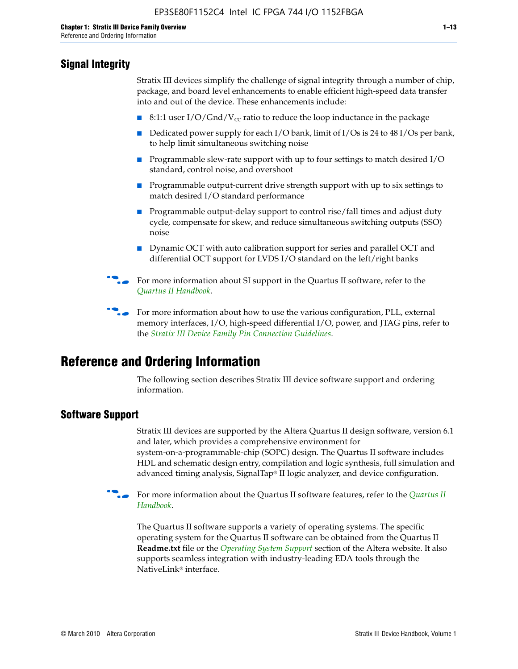# **Signal Integrity**

Stratix III devices simplify the challenge of signal integrity through a number of chip, package, and board level enhancements to enable efficient high-speed data transfer into and out of the device. These enhancements include:

- 8:1:1 user I/O/Gnd/V<sub>cc</sub> ratio to reduce the loop inductance in the package
- Dedicated power supply for each I/O bank, limit of I/Os is 24 to 48 I/Os per bank, to help limit simultaneous switching noise
- Programmable slew-rate support with up to four settings to match desired I/O standard, control noise, and overshoot
- Programmable output-current drive strength support with up to six settings to match desired I/O standard performance
- Programmable output-delay support to control rise/fall times and adjust duty cycle, compensate for skew, and reduce simultaneous switching outputs (SSO) noise
- Dynamic OCT with auto calibration support for series and parallel OCT and differential OCT support for LVDS I/O standard on the left/right banks
- For mor[e](http://www.altera.com/literature/hb/qts/quartusii_handbook.pdf) information about SI support in the Quartus II software, refer to the *[Quartus II Handbook](http://www.altera.com/literature/hb/qts/quartusii_handbook.pdf)*.

For more information about how to use the various configuration, PLL, external memory interfaces, I/O, high-speed differential I/O, power, and JTAG pins, refer to the *[Stratix III Device Family Pin Connection Guidelines](http://www.altera.com/literature/dp/stx3/PCG-01004.pdf)*.

# **Reference and Ordering Information**

The following section describes Stratix III device software support and ordering information.

### **Software Support**

Stratix III devices are supported by the Altera Quartus II design software, version 6.1 and later, which provides a comprehensive environment for system-on-a-programmable-chip (SOPC) design. The Quartus II software includes HDL and schematic design entry, compilation and logic synthesis, full simulation and advanced timing analysis, SignalTap® II logic analyzer, and device configuration.

**for more information about the [Quartus II](http://www.altera.com/literature/hb/qts/quartusii_handbook.pdf) software features, refer to the** *Quartus II* **<b>For all 2** *[Handbook](http://www.altera.com/literature/hb/qts/quartusii_handbook.pdf)*.

The Quartus II software supports a variety of operating systems. The specific operating system for the Quartus II software can be obtained from the Quartus II **Readme.txt** file or the *[Operating System Support](http://www.altera.com/support/software/os_support/oss-index.html)* section of the Altera website. It also supports seamless integration with industry-leading EDA tools through the NativeLink® interface.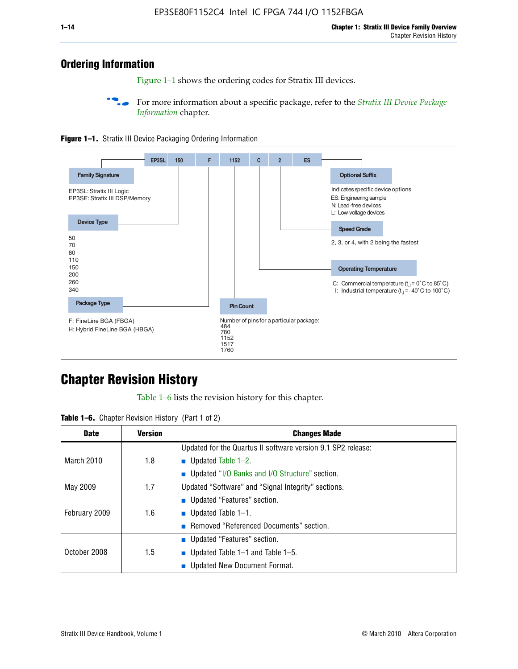# **Ordering Information**

Figure 1–1 shows the ordering codes for Stratix III devices.

For more information about a specific package, refer to the *Stratix III Device Package [Information](http://www.altera.com/literature/hb/stx3/stx3_siii51017.pdf)* chapter.





# **[C](http://www.altera.com/literature/hb/stx3/stx3_siii51012.pdf)hapter Revision History**

Table 1–6 lists the revision history for this chapter.

|  |  |  |  | <b>Table 1–6.</b> Chapter Revision History (Part 1 of 2) |  |
|--|--|--|--|----------------------------------------------------------|--|
|--|--|--|--|----------------------------------------------------------|--|

| <b>Date</b>       | <b>Version</b> | <b>Changes Made</b>                                          |
|-------------------|----------------|--------------------------------------------------------------|
|                   |                | Updated for the Quartus II software version 9.1 SP2 release: |
| <b>March 2010</b> | 1.8            | <b>u</b> Updated Table $1-2$ .                               |
|                   |                | ■ Updated "I/O Banks and I/O Structure" section.             |
| May 2009          | 1.7            | Updated "Software" and "Signal Integrity" sections.          |
|                   |                | Updated "Features" section.                                  |
| February 2009     | 1.6            | <b>u</b> Updated Table $1-1$ .                               |
|                   |                | Removed "Referenced Documents" section.                      |
|                   |                | ■ Updated "Features" section.                                |
| October 2008      | 1.5            | ■ Updated Table 1–1 and Table 1–5.                           |
|                   |                | <b>Updated New Document Format.</b>                          |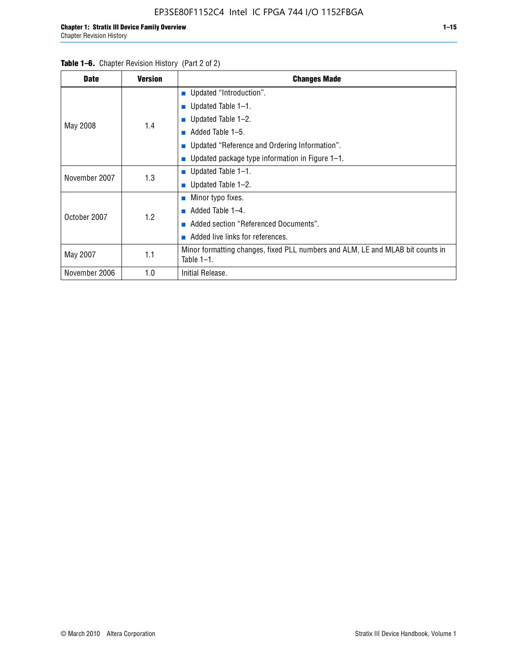| <b>Date</b>   | <b>Version</b> | <b>Changes Made</b>                                                                             |  |  |  |
|---------------|----------------|-------------------------------------------------------------------------------------------------|--|--|--|
|               |                | <b>Updated "Introduction".</b>                                                                  |  |  |  |
|               |                | $\blacksquare$ Updated Table 1-1.                                                               |  |  |  |
|               | 1.4            | ■ Updated Table $1-2$ .                                                                         |  |  |  |
| May 2008      |                | Added Table 1-5.<br><b>COL</b>                                                                  |  |  |  |
|               |                | ■ Updated "Reference and Ordering Information".                                                 |  |  |  |
|               |                | Updated package type information in Figure 1-1.                                                 |  |  |  |
| November 2007 | 1.3            | $\blacksquare$ Updated Table 1-1.                                                               |  |  |  |
|               |                | ■ Updated Table $1-2$ .                                                                         |  |  |  |
|               |                | $\blacksquare$ Minor typo fixes.                                                                |  |  |  |
| October 2007  | 1.2            | Added Table 1-4.                                                                                |  |  |  |
|               |                | Added section "Referenced Documents".                                                           |  |  |  |
|               |                | Added live links for references.                                                                |  |  |  |
| May 2007      | 1.1            | Minor formatting changes, fixed PLL numbers and ALM, LE and MLAB bit counts in<br>Table $1-1$ . |  |  |  |
| November 2006 | 1.0            | Initial Release.                                                                                |  |  |  |